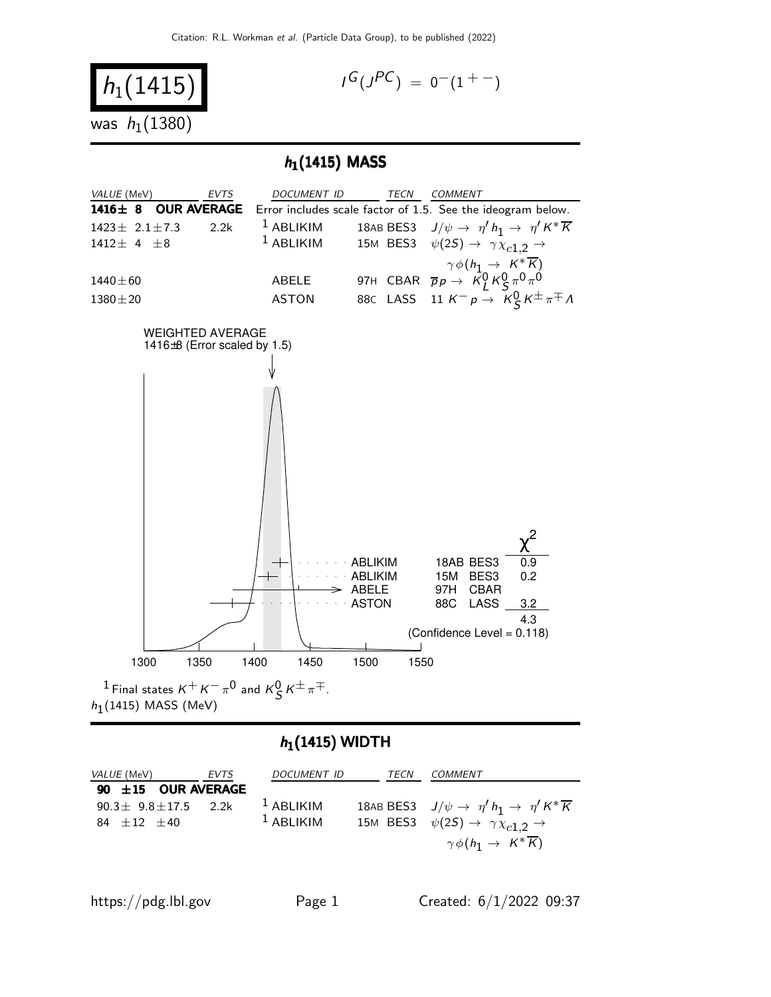

## $h_1(1415)$  WIDTH

| <i>VALUE</i> (MeV)                                                        | EVTS | DOCUMENT ID                | TECN | COMMENT                                                                                                                                                                                          |
|---------------------------------------------------------------------------|------|----------------------------|------|--------------------------------------------------------------------------------------------------------------------------------------------------------------------------------------------------|
| 90 $\pm$ 15 OUR AVERAGE<br>$90.3 \pm 9.8 \pm 17.5$ 2.2k<br>$84 + 12 + 40$ |      | $1$ ABLIKIM<br>$1$ ABLIKIM |      | 18AB BES3 $J/\psi \rightarrow \eta' h_1 \rightarrow \eta' K^* \overline{K}$<br>15M BES3 $\psi(2S) \rightarrow \gamma \chi_{c1,2} \rightarrow$<br>$\gamma \phi(h_1 \rightarrow K^* \overline{K})$ |
|                                                                           |      |                            |      |                                                                                                                                                                                                  |

https://pdg.lbl.gov Page 1 Created:  $6/1/2022$  09:37